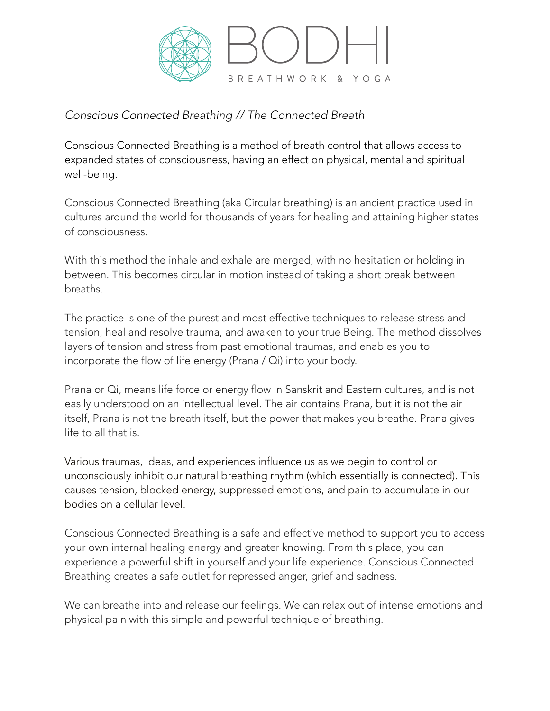

## *Conscious Connected Breathing // The Connected Breath*

Conscious Connected Breathing is a method of breath control that allows access to expanded states of consciousness, having an effect on physical, mental and spiritual well-being.

Conscious Connected Breathing (aka Circular breathing) is an ancient practice used in cultures around the world for thousands of years for healing and attaining higher states of consciousness.

With this method the inhale and exhale are merged, with no hesitation or holding in between. This becomes circular in motion instead of taking a short break between breaths.

The practice is one of the purest and most effective techniques to release stress and tension, heal and resolve trauma, and awaken to your true Being. The method dissolves layers of tension and stress from past emotional traumas, and enables you to incorporate the flow of life energy (Prana / Qi) into your body.

Prana or Qi, means life force or energy flow in Sanskrit and Eastern cultures, and is not easily understood on an intellectual level. The air contains Prana, but it is not the air itself, Prana is not the breath itself, but the power that makes you breathe. Prana gives life to all that is.

Various traumas, ideas, and experiences influence us as we begin to control or unconsciously inhibit our natural breathing rhythm (which essentially is connected). This causes tension, blocked energy, suppressed emotions, and pain to accumulate in our bodies on a cellular level.

Conscious Connected Breathing is a safe and effective method to support you to access your own internal healing energy and greater knowing. From this place, you can experience a powerful shift in yourself and your life experience. Conscious Connected Breathing creates a safe outlet for repressed anger, grief and sadness.

We can breathe into and release our feelings. We can relax out of intense emotions and physical pain with this simple and powerful technique of breathing.